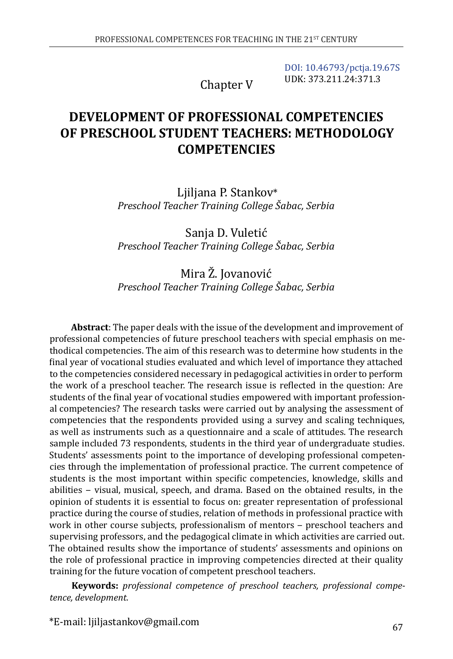Chapter V

[DOI: 10.46793/pctja.19.67S](https://doi.org/10.46793/pctja.19.67S) UDK: 373.211.24:371.3

# **DEVELOPMENT OF PROFESSIONAL COMPETENCIES OF PRESCHOOL STUDENT TEACHERS: METHODOLOGY COMPETENCIES**

Ljiljana P. Stankov\* *Preschool Teacher Training College Šabac, Serbia*

Sanja D. Vuletić *Preschool Teacher Training College Šabac, Serbia*

Mira Ž. Jovanović *Preschool Teacher Training College Šabac, Serbia*

**Abstract**: The paper deals with the issue of the development and improvement of professional competencies of future preschool teachers with special emphasis on methodical competencies. The aim of this research was to determine how students in the final year of vocational studies evaluated and which level of importance they attached to the competencies considered necessary in pedagogical activities in order to perform the work of a preschool teacher. The research issue is reflected in the question: Are students of the final year of vocational studies empowered with important professional competencies? The research tasks were carried out by analysing the assessment of competencies that the respondents provided using a survey and scaling techniques, as well as instruments such as a questionnaire and a scale of attitudes. The research sample included 73 respondents, students in the third year of undergraduate studies. Students' assessments point to the importance of developing professional competencies through the implementation of professional practice. The current competence of students is the most important within specific competencies, knowledge, skills and abilities – visual, musical, speech, and drama. Based on the obtained results, in the opinion of students it is essential to focus on: greater representation of professional practice during the course of studies, relation of methods in professional practice with work in other course subjects, professionalism of mentors - preschool teachers and supervising professors, and the pedagogical climate in which activities are carried out. The obtained results show the importance of students' assessments and opinions on the role of professional practice in improving competencies directed at their quality training for the future vocation of competent preschool teachers.

**Keywords:** *professional competence of preschool teachers, professional competence, development.*

\*E-mail: ljiljastankov@gmail.com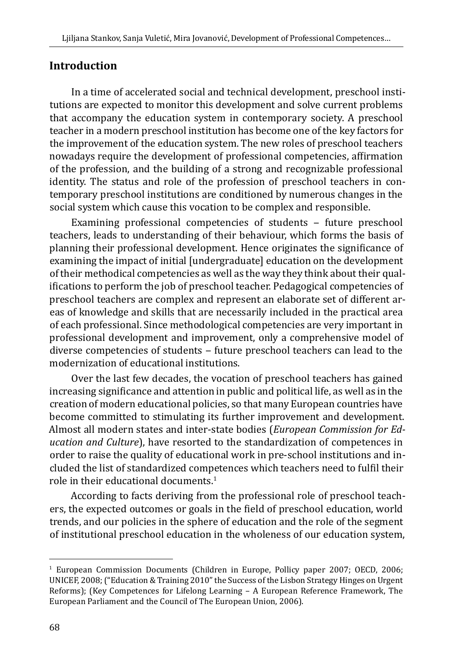### **Introduction**

In a time of accelerated social and technical development, preschool institutions are expected to monitor this development and solve current problems that accompany the education system in contemporary society. A preschool teacher in a modern preschool institution has become one of the key factors for the improvement of the education system. The new roles of preschool teachers nowadays require the development of professional competencies, affirmation of the profession, and the building of a strong and recognizable professional identity. The status and role of the profession of preschool teachers in contemporary preschool institutions are conditioned by numerous changes in the social system which cause this vocation to be complex and responsible.

Examining professional competencies of students  $-$  future preschool teachers, leads to understanding of their behaviour, which forms the basis of planning their professional development. Hence originates the significance of examining the impact of initial [undergraduate] education on the development of their methodical competencies as well as the way they think about their qualifications to perform the job of preschool teacher. Pedagogical competencies of preschool teachers are complex and represent an elaborate set of different areas of knowledge and skills that are necessarily included in the practical area of each professional. Since methodological competencies are very important in professional development and improvement, only a comprehensive model of diverse competencies of students - future preschool teachers can lead to the modernization of educational institutions.

Over the last few decades, the vocation of preschool teachers has gained increasing significance and attention in public and political life, as well as in the creation of modern educational policies, so that many European countries have become committed to stimulating its further improvement and development. Almost all modern states and inter-state bodies (*European Commission for Education and Culture*), have resorted to the standardization of competences in order to raise the quality of educational work in pre-school institutions and included the list of standardized competences which teachers need to fulfil their role in their educational documents. $1$ 

According to facts deriving from the professional role of preschool teachers, the expected outcomes or goals in the field of preschool education, world trends, and our policies in the sphere of education and the role of the segment of institutional preschool education in the wholeness of our education system,

<sup>1</sup> European Commission Documents (Children in Europe, Pollicy paper 2007; OECD, 2006; UNICEF, 2008; ("Education & Training 2010" the Success of the Lisbon Strategy Hinges on Urgent Reforms); (Key Competences for Lifelong Learning – A European Reference Framework, The European Parliament and the Council of The European Union, 2006).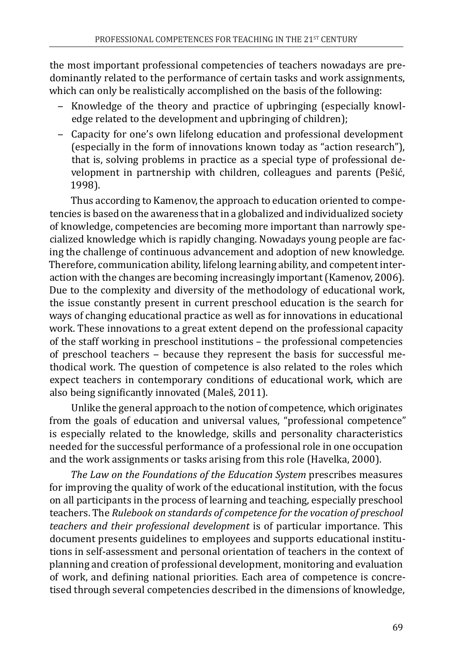the most important professional competencies of teachers nowadays are predominantly related to the performance of certain tasks and work assignments, which can only be realistically accomplished on the basis of the following:

- ‒ Knowledge of the theory and practice of upbringing (especially knowledge related to the development and upbringing of children);
- ‒ Capacity for one's own lifelong education and professional development (especially in the form of innovations known today as "action research"), that is, solving problems in practice as a special type of professional development in partnership with children, colleagues and parents (Pešić, 1998).

Thus according to Kamenov, the approach to education oriented to competencies is based on the awareness that in a globalized and individualized society of knowledge, competencies are becoming more important than narrowly specialized knowledge which is rapidly changing. Nowadays young people are facing the challenge of continuous advancement and adoption of new knowledge. Therefore, communication ability, lifelong learning ability, and competent interaction with the changes are becoming increasingly important (Kamenov, 2006). Due to the complexity and diversity of the methodology of educational work, the issue constantly present in current preschool education is the search for ways of changing educational practice as well as for innovations in educational work. These innovations to a great extent depend on the professional capacity of the staff working in preschool institutions – the professional competencies of preschool teachers – because they represent the basis for successful methodical work. The question of competence is also related to the roles which expect teachers in contemporary conditions of educational work, which are also being significantly innovated (Maleš, 2011).

Unlike the general approach to the notion of competence, which originates from the goals of education and universal values, "professional competence" is especially related to the knowledge, skills and personality characteristics needed for the successful performance of a professional role in one occupation and the work assignments or tasks arising from this role (Havelka, 2000).

*The Law on the Foundations of the Education System* prescribes measures for improving the quality of work of the educational institution, with the focus on all participants in the process of learning and teaching, especially preschool teachers. The *Rulebook on standards of competence for the vocation of preschool teachers and their professional development* is of particular importance. This document presents guidelines to employees and supports educational institutions in self-assessment and personal orientation of teachers in the context of planning and creation of professional development, monitoring and evaluation of work, and defining national priorities. Each area of competence is concretised through several competencies described in the dimensions of knowledge,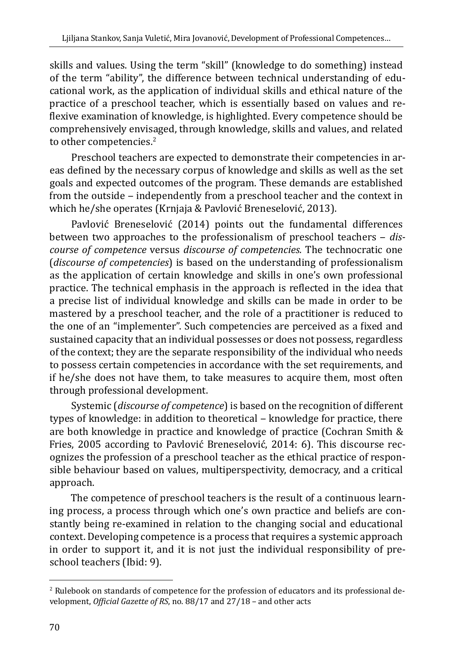skills and values. Using the term "skill" (knowledge to do something) instead of the term "ability", the difference between technical understanding of educational work, as the application of individual skills and ethical nature of the practice of a preschool teacher, which is essentially based on values and reflexive examination of knowledge, is highlighted. Every competence should be comprehensively envisaged, through knowledge, skills and values, and related to other competencies.<sup>2</sup>

Preschool teachers are expected to demonstrate their competencies in areas defined by the necessary corpus of knowledge and skills as well as the set goals and expected outcomes of the program. These demands are established from the outside – independently from a preschool teacher and the context in which he/she operates (Krnjaja & Pavlović Breneselović, 2013).

Pavlović Breneselović (2014) points out the fundamental differences between two approaches to the professionalism of preschool teachers ‒ *discourse of competence* versus *discourse of competencies.* The technocratic one (*discourse of competencies*) is based on the understanding of professionalism as the application of certain knowledge and skills in one's own professional practice. The technical emphasis in the approach is reflected in the idea that a precise list of individual knowledge and skills can be made in order to be mastered by a preschool teacher, and the role of a practitioner is reduced to the one of an "implementer". Such competencies are perceived as a fixed and sustained capacity that an individual possesses or does not possess, regardless of the context; they are the separate responsibility of the individual who needs to possess certain competencies in accordance with the set requirements, and if he/she does not have them, to take measures to acquire them, most often through professional development.

Systemic (*discourse of competence*) is based on the recognition of different types of knowledge: in addition to theoretical - knowledge for practice, there are both knowledge in practice and knowledge of practice (Cochran Smith & Fries, 2005 according to Pavlović Breneselović, 2014: 6). This discourse recognizes the profession of a preschool teacher as the ethical practice of responsible behaviour based on values, multiperspectivity, democracy, and a critical approach.

The competence of preschool teachers is the result of a continuous learning process, a process through which one's own practice and beliefs are constantly being re-examined in relation to the changing social and educational context. Developing competence is a process that requires a systemic approach in order to support it, and it is not just the individual responsibility of preschool teachers (Ibid: 9).

<sup>2</sup> Rulebook on standards of competence for the profession of educators and its professional development, *Official Gazette of RS*, no. 88/17 and 27/18 – and other acts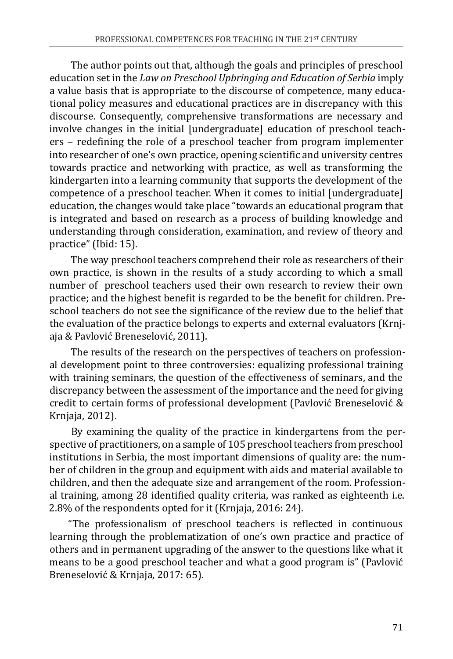The author points out that, although the goals and principles of preschool education set in the *Law on Preschool Upbringing and Education of Serbia* imply a value basis that is appropriate to the discourse of competence, many educational policy measures and educational practices are in discrepancy with this discourse. Consequently, comprehensive transformations are necessary and involve changes in the initial [undergraduate] education of preschool teachers – redefining the role of a preschool teacher from program implementer into researcher of one's own practice, opening scientific and university centres towards practice and networking with practice, as well as transforming the kindergarten into a learning community that supports the development of the competence of a preschool teacher. When it comes to initial [undergraduate] education, the changes would take place "towards an educational program that is integrated and based on research as a process of building knowledge and understanding through consideration, examination, and review of theory and practice" (Ibid: 15).

The way preschool teachers comprehend their role as researchers of their own practice, is shown in the results of a study according to which a small number of preschool teachers used their own research to review their own practice; and the highest benefit is regarded to be the benefit for children. Preschool teachers do not see the significance of the review due to the belief that the evaluation of the practice belongs to experts and external evaluators (Krnjaja & Pavlović Breneselović, 2011).

The results of the research on the perspectives of teachers on professional development point to three controversies: equalizing professional training with training seminars, the question of the effectiveness of seminars, and the discrepancy between the assessment of the importance and the need for giving credit to certain forms of professional development (Pavlović Breneselović & Krnjaja, 2012).

By examining the quality of the practice in kindergartens from the perspective of practitioners, on a sample of 105 preschool teachers from preschool institutions in Serbia, the most important dimensions of quality are: the number of children in the group and equipment with aids and material available to children, and then the adequate size and arrangement of the room. Professional training, among 28 identified quality criteria, was ranked as eighteenth i.e. 2.8% of the respondents opted for it (Krnjaja, 2016: 24).

"The professionalism of preschool teachers is reflected in continuous learning through the problematization of one's own practice and practice of others and in permanent upgrading of the answer to the questions like what it means to be a good preschool teacher and what a good program is" (Pavlović Breneselović & Krnjaja, 2017: 65).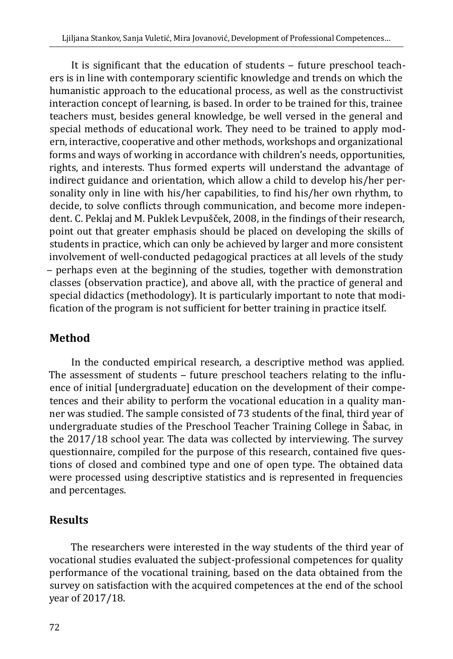It is significant that the education of students – future preschool teachers is in line with contemporary scientific knowledge and trends on which the humanistic approach to the educational process, as well as the constructivist interaction concept of learning, is based. In order to be trained for this, trainee teachers must, besides general knowledge, be well versed in the general and special methods of educational work. They need to be trained to apply modern, interactive, cooperative and other methods, workshops and organizational forms and ways of working in accordance with children's needs, opportunities, rights, and interests. Thus formed experts will understand the advantage of indirect guidance and orientation, which allow a child to develop his/her personality only in line with his/her capabilities, to find his/her own rhythm, to decide, to solve conflicts through communication, and become more independent. C. Peklaj and M. Puklek Levpušček, 2008, in the findings of their research, point out that greater emphasis should be placed on developing the skills of students in practice, which can only be achieved by larger and more consistent involvement of well-conducted pedagogical practices at all levels of the study ‒ perhaps even at the beginning of the studies, together with demonstration classes (observation practice), and above all, with the practice of general and special didactics (methodology). It is particularly important to note that modification of the program is not sufficient for better training in practice itself.

# **Method**

In the conducted empirical research, a descriptive method was applied. The assessment of students - future preschool teachers relating to the influence of initial [undergraduate] education on the development of their competences and their ability to perform the vocational education in a quality manner was studied. The sample consisted of 73 students of the final, third year of undergraduate studies of the Preschool Teacher Training College in Šabac, in the 2017/18 school year. The data was collected by interviewing. The survey questionnaire, compiled for the purpose of this research, contained five questions of closed and combined type and one of open type. The obtained data were processed using descriptive statistics and is represented in frequencies and percentages.

# **Results**

The researchers were interested in the way students of the third year of vocational studies evaluated the subject-professional competences for quality performance of the vocational training, based on the data obtained from the survey on satisfaction with the acquired competences at the end of the school year of 2017/18.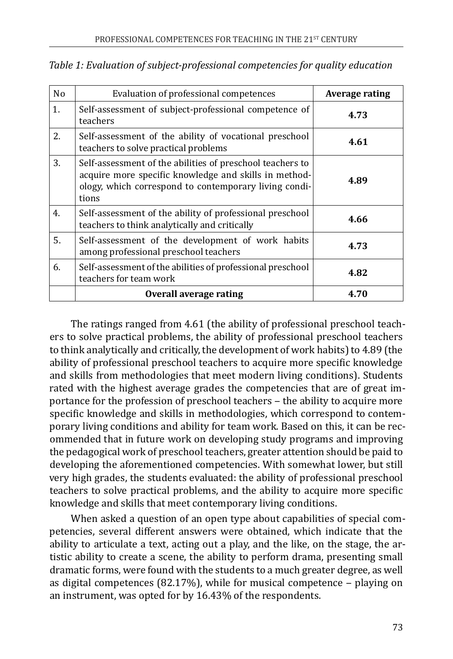| N <sub>0</sub> | Evaluation of professional competences                                                                                                                                               | Average rating |
|----------------|--------------------------------------------------------------------------------------------------------------------------------------------------------------------------------------|----------------|
| 1.             | Self-assessment of subject-professional competence of<br>teachers                                                                                                                    | 4.73           |
| 2.             | Self-assessment of the ability of vocational preschool<br>teachers to solve practical problems                                                                                       | 4.61           |
| 3.             | Self-assessment of the abilities of preschool teachers to<br>acquire more specific knowledge and skills in method-<br>ology, which correspond to contemporary living condi-<br>tions | 4.89           |
| 4.             | Self-assessment of the ability of professional preschool<br>teachers to think analytically and critically                                                                            | 4.66           |
| 5.             | Self-assessment of the development of work habits<br>among professional preschool teachers                                                                                           | 4.73           |
| 6.             | Self-assessment of the abilities of professional preschool<br>teachers for team work                                                                                                 | 4.82           |
|                | Overall average rating                                                                                                                                                               | 4.70           |

*Table 1: Evaluation of subject-professional competencies for quality education*

The ratings ranged from 4.61 (the ability of professional preschool teachers to solve practical problems, the ability of professional preschool teachers to think analytically and critically, the development of work habits) to 4.89 (the ability of professional preschool teachers to acquire more specific knowledge and skills from methodologies that meet modern living conditions). Students rated with the highest average grades the competencies that are of great importance for the profession of preschool teachers – the ability to acquire more specific knowledge and skills in methodologies, which correspond to contemporary living conditions and ability for team work. Based on this, it can be recommended that in future work on developing study programs and improving the pedagogical work of preschool teachers, greater attention should be paid to developing the aforementioned competencies. With somewhat lower, but still very high grades, the students evaluated: the ability of professional preschool teachers to solve practical problems, and the ability to acquire more specific knowledge and skills that meet contemporary living conditions.

When asked a question of an open type about capabilities of special competencies, several different answers were obtained, which indicate that the ability to articulate a text, acting out a play, and the like, on the stage, the artistic ability to create a scene, the ability to perform drama, presenting small dramatic forms, were found with the students to a much greater degree, as well as digital competences (82.17%), while for musical competence  $-$  playing on an instrument, was opted for by 16.43% of the respondents.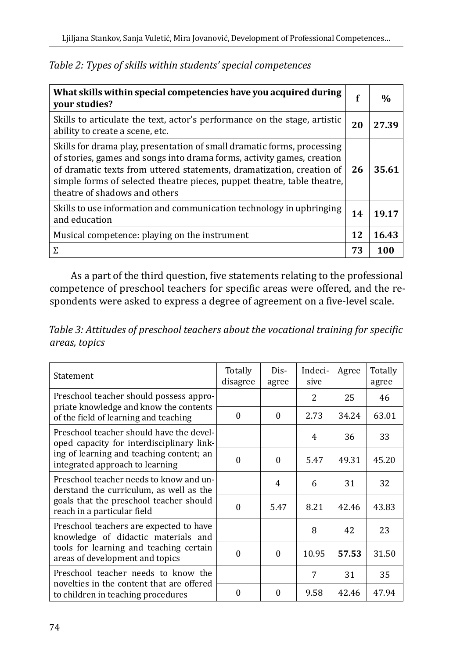| What skills within special competencies have you acquired during<br>your studies?                                                                                                                                                                                                                                                      | f  | $\frac{0}{0}$ |
|----------------------------------------------------------------------------------------------------------------------------------------------------------------------------------------------------------------------------------------------------------------------------------------------------------------------------------------|----|---------------|
| Skills to articulate the text, actor's performance on the stage, artistic<br>ability to create a scene, etc.                                                                                                                                                                                                                           | 20 | 27.39         |
| Skills for drama play, presentation of small dramatic forms, processing<br>of stories, games and songs into drama forms, activity games, creation<br>of dramatic texts from uttered statements, dramatization, creation of<br>simple forms of selected theatre pieces, puppet theatre, table theatre,<br>theatre of shadows and others | 26 | 35.61         |
| Skills to use information and communication technology in upbringing<br>and education                                                                                                                                                                                                                                                  | 14 | 19.17         |
| Musical competence: playing on the instrument                                                                                                                                                                                                                                                                                          | 12 | 16.43         |
| Σ.                                                                                                                                                                                                                                                                                                                                     | 73 | 100           |

*Table 2: Types of skills within students' special competences*

As a part of the third question, five statements relating to the professional competence of preschool teachers for specific areas were offered, and the respondents were asked to express a degree of agreement on a five-level scale.

*Table 3: Attitudes of preschool teachers about the vocational training for specific areas, topics*

| Statement                                                                             | Totally<br>disagree | Dis-<br>agree | Indeci-<br>sive | Agree | Totally<br>agree |
|---------------------------------------------------------------------------------------|---------------------|---------------|-----------------|-------|------------------|
| Preschool teacher should possess appro-                                               |                     |               | 2               | 25    | 46               |
| priate knowledge and know the contents<br>of the field of learning and teaching       | $\Omega$            | $\Omega$      | 2.73            | 34.24 | 63.01            |
| Preschool teacher should have the devel-<br>oped capacity for interdisciplinary link- |                     |               | 4               | 36    | 33               |
| ing of learning and teaching content; an<br>integrated approach to learning           | 0                   | $\Omega$      | 5.47            | 49.31 | 45.20            |
| Preschool teacher needs to know and un-<br>derstand the curriculum, as well as the    |                     | 4             | 6               | 31    | 32               |
| goals that the preschool teacher should<br>reach in a particular field                | 0                   | 5.47          | 8.21            | 42.46 | 43.83            |
| Preschool teachers are expected to have<br>knowledge of didactic materials and        |                     |               | 8               | 42    | 23               |
| tools for learning and teaching certain<br>areas of development and topics            | $\Omega$            | $\theta$      | 10.95           | 57.53 | 31.50            |
| Preschool teacher needs to know the<br>novelties in the content that are offered      |                     |               | 7               | 31    | 35               |
| to children in teaching procedures                                                    | 0                   | $\Omega$      | 9.58            | 42.46 | 47.94            |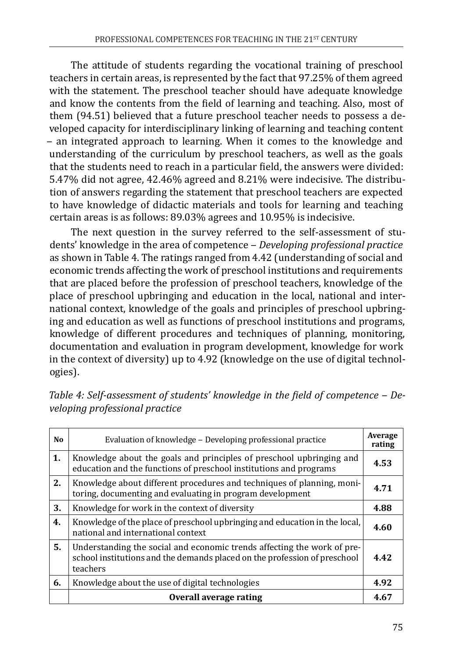The attitude of students regarding the vocational training of preschool teachers in certain areas, is represented by the fact that 97.25% of them agreed with the statement. The preschool teacher should have adequate knowledge and know the contents from the field of learning and teaching. Also, most of them (94.51) believed that a future preschool teacher needs to possess a developed capacity for interdisciplinary linking of learning and teaching content ‒ an integrated approach to learning. When it comes to the knowledge and understanding of the curriculum by preschool teachers, as well as the goals that the students need to reach in a particular field, the answers were divided: 5.47% did not agree, 42.46% agreed and 8.21% were indecisive. The distribution of answers regarding the statement that preschool teachers are expected to have knowledge of didactic materials and tools for learning and teaching certain areas is as follows: 89.03% agrees and 10.95% is indecisive.

The next question in the survey referred to the self-assessment of students' knowledge in the area of competence ‒ *Developing professional practice* as shown in Table 4. The ratings ranged from 4.42 (understanding of social and economic trends affecting the work of preschool institutions and requirements that are placed before the profession of preschool teachers, knowledge of the place of preschool upbringing and education in the local, national and international context, knowledge of the goals and principles of preschool upbringing and education as well as functions of preschool institutions and programs, knowledge of different procedures and techniques of planning, monitoring, documentation and evaluation in program development, knowledge for work in the context of diversity) up to 4.92 (knowledge on the use of digital technologies).

| No. | Evaluation of knowledge – Developing professional practice                                                                                                       |      |
|-----|------------------------------------------------------------------------------------------------------------------------------------------------------------------|------|
| 1.  | Knowledge about the goals and principles of preschool upbringing and<br>education and the functions of preschool institutions and programs                       | 4.53 |
| 2.  | Knowledge about different procedures and techniques of planning, moni-<br>toring, documenting and evaluating in program development                              | 4.71 |
| 3.  | Knowledge for work in the context of diversity                                                                                                                   | 4.88 |
| 4.  | Knowledge of the place of preschool upbringing and education in the local,<br>national and international context                                                 | 4.60 |
| 5.  | Understanding the social and economic trends affecting the work of pre-<br>school institutions and the demands placed on the profession of preschool<br>teachers | 4.42 |
| 6.  | Knowledge about the use of digital technologies                                                                                                                  | 4.92 |
|     | Overall average rating                                                                                                                                           | 4.67 |

*Table 4: Self-assessment of students' knowledge in the field of competence ‒ Developing professional practice*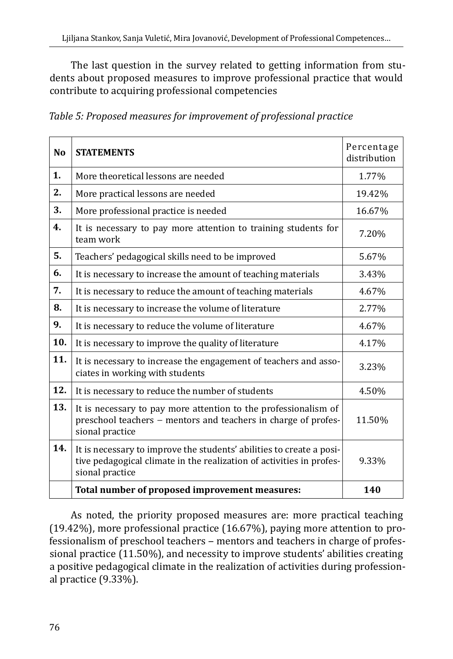The last question in the survey related to getting information from students about proposed measures to improve professional practice that would contribute to acquiring professional competencies

| Table 5: Proposed measures for improvement of professional practice |  |  |  |
|---------------------------------------------------------------------|--|--|--|

| N <sub>0</sub> | <b>STATEMENTS</b>                                                                                                                                               | Percentage<br>distribution |
|----------------|-----------------------------------------------------------------------------------------------------------------------------------------------------------------|----------------------------|
| 1.             | More theoretical lessons are needed                                                                                                                             | 1.77%                      |
| 2.             | More practical lessons are needed                                                                                                                               | 19.42%                     |
| 3.             | More professional practice is needed                                                                                                                            | 16.67%                     |
| 4.             | It is necessary to pay more attention to training students for<br>team work                                                                                     | 7.20%                      |
| 5.             | Teachers' pedagogical skills need to be improved                                                                                                                | 5.67%                      |
| 6.             | It is necessary to increase the amount of teaching materials                                                                                                    | 3.43%                      |
| 7.             | It is necessary to reduce the amount of teaching materials                                                                                                      | 4.67%                      |
| 8.             | It is necessary to increase the volume of literature                                                                                                            | 2.77%                      |
| 9.             | It is necessary to reduce the volume of literature                                                                                                              | 4.67%                      |
| 10.            | It is necessary to improve the quality of literature                                                                                                            | 4.17%                      |
| 11.            | It is necessary to increase the engagement of teachers and asso-<br>ciates in working with students                                                             | 3.23%                      |
| 12.            | It is necessary to reduce the number of students                                                                                                                | 4.50%                      |
| 13.            | It is necessary to pay more attention to the professionalism of<br>preschool teachers - mentors and teachers in charge of profes-<br>sional practice            | 11.50%                     |
| 14.            | It is necessary to improve the students' abilities to create a posi-<br>tive pedagogical climate in the realization of activities in profes-<br>sional practice | 9.33%                      |
|                | Total number of proposed improvement measures:                                                                                                                  | 140                        |

As noted, the priority proposed measures are: more practical teaching (19.42%), more professional practice (16.67%), paying more attention to professionalism of preschool teachers - mentors and teachers in charge of professional practice (11.50%), and necessity to improve students' abilities creating a positive pedagogical climate in the realization of activities during professional practice (9.33%).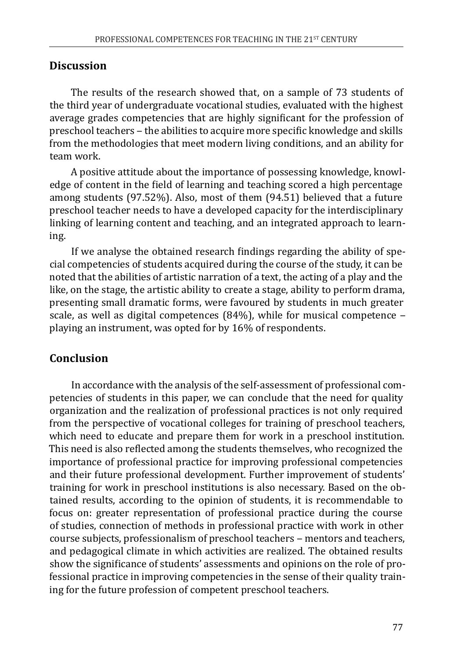#### **Discussion**

The results of the research showed that, on a sample of 73 students of the third year of undergraduate vocational studies, evaluated with the highest average grades competencies that are highly significant for the profession of preschool teachers ‒ the abilities to acquire more specific knowledge and skills from the methodologies that meet modern living conditions, and an ability for team work.

A positive attitude about the importance of possessing knowledge, knowledge of content in the field of learning and teaching scored a high percentage among students (97.52%). Also, most of them (94.51) believed that a future preschool teacher needs to have a developed capacity for the interdisciplinary linking of learning content and teaching, and an integrated approach to learning.

If we analyse the obtained research findings regarding the ability of special competencies of students acquired during the course of the study, it can be noted that the abilities of artistic narration of a text, the acting of a play and the like, on the stage, the artistic ability to create a stage, ability to perform drama, presenting small dramatic forms, were favoured by students in much greater scale, as well as digital competences (84%), while for musical competence  $$ playing an instrument, was opted for by 16% of respondents.

# **Conclusion**

In accordance with the analysis of the self-assessment of professional competencies of students in this paper, we can conclude that the need for quality organization and the realization of professional practices is not only required from the perspective of vocational colleges for training of preschool teachers, which need to educate and prepare them for work in a preschool institution. This need is also reflected among the students themselves, who recognized the importance of professional practice for improving professional competencies and their future professional development. Further improvement of students' training for work in preschool institutions is also necessary. Based on the obtained results, according to the opinion of students, it is recommendable to focus on: greater representation of professional practice during the course of studies, connection of methods in professional practice with work in other course subjects, professionalism of preschool teachers ‒ mentors and teachers, and pedagogical climate in which activities are realized. The obtained results show the significance of students' assessments and opinions on the role of professional practice in improving competencies in the sense of their quality training for the future profession of competent preschool teachers.